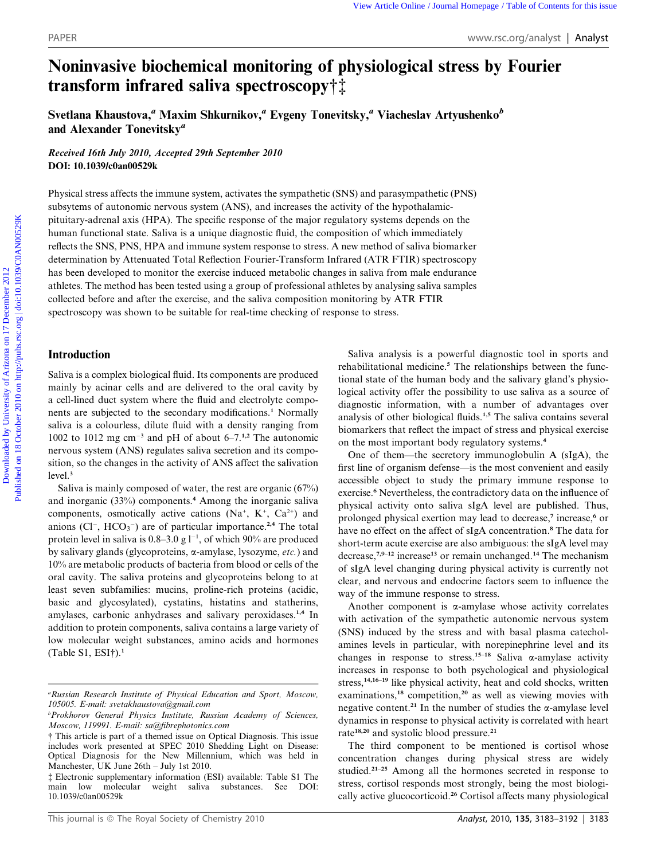# Noninvasive biochemical monitoring of physiological stress by Fourier transform infrared saliva spectroscopy†‡

Svetlana Khaustova,<sup>*a*</sup> Maxim Shkurnikov,<sup>*a*</sup> Evgeny Tonevitsky,<sup>*a*</sup> Viacheslav Artyushenko<sup>b</sup> and Alexander Tonevitsky<sup>a</sup>

Received 16th July 2010, Accepted 29th September 2010 DOI: 10.1039/c0an00529k

Physical stress affects the immune system, activates the sympathetic (SNS) and parasympathetic (PNS) subsytems of autonomic nervous system (ANS), and increases the activity of the hypothalamicpituitary-adrenal axis (HPA). The specific response of the major regulatory systems depends on the human functional state. Saliva is a unique diagnostic fluid, the composition of which immediately reflects the SNS, PNS, HPA and immune system response to stress. A new method of saliva biomarker determination by Attenuated Total Reflection Fourier-Transform Infrared (ATR FTIR) spectroscopy has been developed to monitor the exercise induced metabolic changes in saliva from male endurance athletes. The method has been tested using a group of professional athletes by analysing saliva samples collected before and after the exercise, and the saliva composition monitoring by ATR FTIR spectroscopy was shown to be suitable for real-time checking of response to stress. Downloaded by the Arison of University of Arison Commuter Contents (Arison of Arison Contents)<br> **Contents of Arison Scheme 2012** Specifies of Arison Scheme 2012 Published on the Contents of Arison Scheme 2010 on the Conte

## Introduction

Saliva is a complex biological fluid. Its components are produced mainly by acinar cells and are delivered to the oral cavity by a cell-lined duct system where the fluid and electrolyte components are subjected to the secondary modifications.<sup>1</sup> Normally saliva is a colourless, dilute fluid with a density ranging from 1002 to 1012 mg cm<sup>-3</sup> and pH of about  $6-7<sup>1,2</sup>$  The autonomic nervous system (ANS) regulates saliva secretion and its composition, so the changes in the activity of ANS affect the salivation level.<sup>3</sup>

Saliva is mainly composed of water, the rest are organic (67%) and inorganic (33%) components.<sup>4</sup> Among the inorganic saliva components, osmotically active cations  $(Na^+, K^+, Ca^{2+})$  and anions  $(Cl^-, HCO_3^-)$  are of particular importance.<sup>2,4</sup> The total protein level in saliva is  $0.8-3.0 \text{ g } 1^{-1}$ , of which  $90\%$  are produced by salivary glands (glycoproteins,  $\alpha$ -amylase, lysozyme, etc.) and 10% are metabolic products of bacteria from blood or cells of the oral cavity. The saliva proteins and glycoproteins belong to at least seven subfamilies: mucins, proline-rich proteins (acidic, basic and glycosylated), cystatins, histatins and statherins, amylases, carbonic anhydrases and salivary peroxidases.1,4 In addition to protein components, saliva contains a large variety of low molecular weight substances, amino acids and hormones (Table S1,  $ESI<sup>†</sup>$ ).<sup>1</sup>

Saliva analysis is a powerful diagnostic tool in sports and rehabilitational medicine.<sup>5</sup> The relationships between the functional state of the human body and the salivary gland's physiological activity offer the possibility to use saliva as a source of diagnostic information, with a number of advantages over analysis of other biological fluids.<sup>1,5</sup> The saliva contains several biomarkers that reflect the impact of stress and physical exercise on the most important body regulatory systems.<sup>4</sup>

One of them—the secretory immunoglobulin A (sIgA), the first line of organism defense—is the most convenient and easily accessible object to study the primary immune response to exercise.<sup>6</sup> Nevertheless, the contradictory data on the influence of physical activity onto saliva sIgA level are published. Thus, prolonged physical exertion may lead to decrease,<sup>7</sup> increase,<sup>6</sup> or have no effect on the affect of sIgA concentration.<sup>8</sup> The data for short-term acute exercise are also ambiguous: the sIgA level may decrease,<sup>7,9–12</sup> increase<sup>13</sup> or remain unchanged.<sup>14</sup> The mechanism of sIgA level changing during physical activity is currently not clear, and nervous and endocrine factors seem to influence the way of the immune response to stress.

Another component is  $\alpha$ -amylase whose activity correlates with activation of the sympathetic autonomic nervous system (SNS) induced by the stress and with basal plasma catecholamines levels in particular, with norepinephrine level and its changes in response to stress.<sup>15-18</sup> Saliva  $\alpha$ -amylase activity increases in response to both psychological and physiological stress,<sup>14,16–19</sup> like physical activity, heat and cold shocks, written examinations,<sup>18</sup> competition,<sup>20</sup> as well as viewing movies with negative content.<sup>21</sup> In the number of studies the  $\alpha$ -amylase level dynamics in response to physical activity is correlated with heart rate<sup>18,20</sup> and systolic blood pressure.<sup>21</sup>

The third component to be mentioned is cortisol whose concentration changes during physical stress are widely studied.<sup>21-25</sup> Among all the hormones secreted in response to stress, cortisol responds most strongly, being the most biologically active glucocorticoid.<sup>26</sup> Cortisol affects many physiological

<sup>&</sup>lt;sup>a</sup>Russian Research Institute of Physical Education and Sport, Moscow, 105005. E-mail: svetakhaustova@gmail.com

<sup>&</sup>lt;sup>b</sup>Prokhorov General Physics Institute, Russian Academy of Sciences, Moscow, 119991. E-mail: sa@fibrephotonics.com

<sup>†</sup> This article is part of a themed issue on Optical Diagnosis. This issue includes work presented at SPEC 2010 Shedding Light on Disease: Optical Diagnosis for the New Millennium, which was held in Manchester, UK June 26th – July 1st 2010.

<sup>‡</sup> Electronic supplementary information (ESI) available: Table S1 The main low molecular weight saliva substances. See DOI: 10.1039/c0an00529k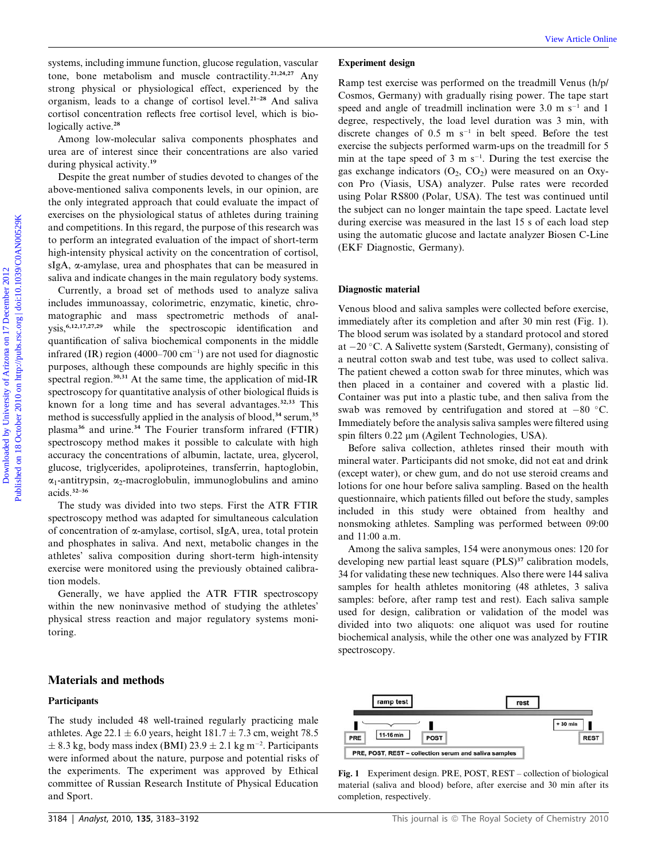systems, including immune function, glucose regulation, vascular tone, bone metabolism and muscle contractility.21,24,27 Any strong physical or physiological effect, experienced by the organism, leads to a change of cortisol level.21–28 And saliva cortisol concentration reflects free cortisol level, which is biologically active.<sup>28</sup>

Among low-molecular saliva components phosphates and urea are of interest since their concentrations are also varied during physical activity.<sup>19</sup>

Despite the great number of studies devoted to changes of the above-mentioned saliva components levels, in our opinion, are the only integrated approach that could evaluate the impact of exercises on the physiological status of athletes during training and competitions. In this regard, the purpose of this research was to perform an integrated evaluation of the impact of short-term high-intensity physical activity on the concentration of cortisol, sIgA, a-amylase, urea and phosphates that can be measured in saliva and indicate changes in the main regulatory body systems.

Currently, a broad set of methods used to analyze saliva includes immunoassay, colorimetric, enzymatic, kinetic, chromatographic and mass spectrometric methods of anal-<br>
ysis.<sup>6,12,17,27,29</sup> while the spectroscopic identification and while the spectroscopic identification and quantification of saliva biochemical components in the middle infrared (IR) region (4000–700  $\text{cm}^{-1}$ ) are not used for diagnostic purposes, although these compounds are highly specific in this spectral region.<sup>30,31</sup> At the same time, the application of mid-IR spectroscopy for quantitative analysis of other biological fluids is known for a long time and has several advantages.<sup>32,33</sup> This method is successfully applied in the analysis of blood,<sup>34</sup> serum,<sup>35</sup> plasma<sup>36</sup> and urine.<sup>34</sup> The Fourier transform infrared (FTIR) spectroscopy method makes it possible to calculate with high accuracy the concentrations of albumin, lactate, urea, glycerol, glucose, triglycerides, apoliproteines, transferrin, haptoglobin,  $\alpha_1$ -antitrypsin,  $\alpha_2$ -macroglobulin, immunoglobulins and amino acids.32–36 systems, including instance, function, glacoco-regulation, vascalar<br>
Downloaded and mandel, contradiction and mandel contradiction and mandel on 18 October 2010 on the particle on the mandel of the particle on the particl

The study was divided into two steps. First the ATR FTIR spectroscopy method was adapted for simultaneous calculation of concentration of a-amylase, cortisol, sIgA, urea, total protein and phosphates in saliva. And next, metabolic changes in the athletes' saliva composition during short-term high-intensity exercise were monitored using the previously obtained calibration models.

Generally, we have applied the ATR FTIR spectroscopy within the new noninvasive method of studying the athletes' physical stress reaction and major regulatory systems monitoring.

## Materials and methods

#### **Participants**

The study included 48 well-trained regularly practicing male athletes. Age 22.1  $\pm$  6.0 years, height 181.7  $\pm$  7.3 cm, weight 78.5  $\pm$  8.3 kg, body mass index (BMI) 23.9  $\pm$  2.1 kg m<sup>-2</sup>. Participants were informed about the nature, purpose and potential risks of the experiments. The experiment was approved by Ethical committee of Russian Research Institute of Physical Education and Sport.

#### Experiment design

Ramp test exercise was performed on the treadmill Venus (h/p/ Cosmos, Germany) with gradually rising power. The tape start speed and angle of treadmill inclination were  $3.0 \text{ m s}^{-1}$  and 1 degree, respectively, the load level duration was 3 min, with discrete changes of  $0.5 \text{ m s}^{-1}$  in belt speed. Before the test exercise the subjects performed warm-ups on the treadmill for 5 min at the tape speed of  $3 \text{ m s}^{-1}$ . During the test exercise the gas exchange indicators  $(O_2, CO_2)$  were measured on an Oxycon Pro (Viasis, USA) analyzer. Pulse rates were recorded using Polar RS800 (Polar, USA). The test was continued until the subject can no longer maintain the tape speed. Lactate level during exercise was measured in the last 15 s of each load step using the automatic glucose and lactate analyzer Biosen C-Line (EKF Diagnostic, Germany).

## Diagnostic material

Venous blood and saliva samples were collected before exercise, immediately after its completion and after 30 min rest (Fig. 1). The blood serum was isolated by a standard protocol and stored at -20 °C. A Salivette system (Sarstedt, Germany), consisting of a neutral cotton swab and test tube, was used to collect saliva. The patient chewed a cotton swab for three minutes, which was then placed in a container and covered with a plastic lid. Container was put into a plastic tube, and then saliva from the swab was removed by centrifugation and stored at  $-80$  °C. Immediately before the analysis saliva samples were filtered using spin filters 0.22 μm (Agilent Technologies, USA).

Before saliva collection, athletes rinsed their mouth with mineral water. Participants did not smoke, did not eat and drink (except water), or chew gum, and do not use steroid creams and lotions for one hour before saliva sampling. Based on the health questionnaire, which patients filled out before the study, samples included in this study were obtained from healthy and nonsmoking athletes. Sampling was performed between 09:00 and 11:00 a.m.

Among the saliva samples, 154 were anonymous ones: 120 for developing new partial least square  $(PLS)^{37}$  calibration models, 34 for validating these new techniques. Also there were 144 saliva samples for health athletes monitoring (48 athletes, 3 saliva samples: before, after ramp test and rest). Each saliva sample used for design, calibration or validation of the model was divided into two aliquots: one aliquot was used for routine biochemical analysis, while the other one was analyzed by FTIR spectroscopy.



Fig. 1 Experiment design. PRE, POST, REST – collection of biological material (saliva and blood) before, after exercise and 30 min after its completion, respectively.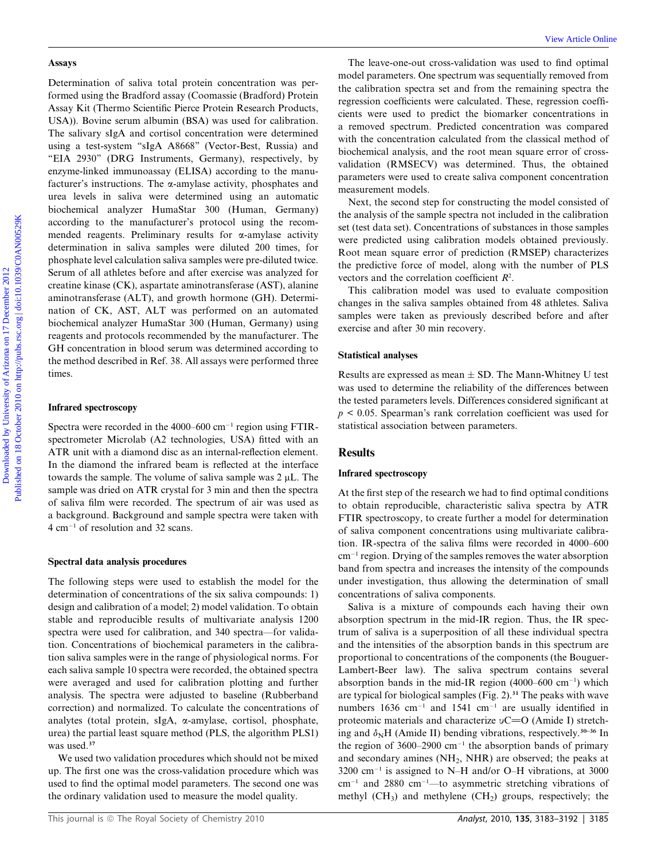#### Assays

Determination of saliva total protein concentration was performed using the Bradford assay (Coomassie (Bradford) Protein Assay Kit (Thermo Scientific Pierce Protein Research Products, USA)). Bovine serum albumin (BSA) was used for calibration. The salivary sIgA and cortisol concentration were determined using a test-system ''sIgA A8668'' (Vector-Best, Russia) and "EIA 2930" (DRG Instruments, Germany), respectively, by enzyme-linked immunoassay (ELISA) according to the manufacturer's instructions. The  $\alpha$ -amylase activity, phosphates and urea levels in saliva were determined using an automatic biochemical analyzer HumaStar 300 (Human, Germany) according to the manufacturer's protocol using the recommended reagents. Preliminary results for  $\alpha$ -amylase activity determination in saliva samples were diluted 200 times, for phosphate level calculation saliva samples were pre-diluted twice. Serum of all athletes before and after exercise was analyzed for creatine kinase (CK), aspartate aminotransferase (AST), alanine aminotransferase (ALT), and growth hormone (GH). Determination of CK, AST, ALT was performed on an automated biochemical analyzer HumaStar 300 (Human, Germany) using reagents and protocols recommended by the manufacturer. The GH concentration in blood serum was determined according to the method described in Ref. 38. All assays were performed three times. Next, according to the latter one of the latter one of the method is the state of the control on the control on the control on the control of the control of the control of the control on the control of  $\sim$  18 October 201

### Infrared spectroscopy

Spectra were recorded in the  $4000-600$  cm<sup>-1</sup> region using FTIRspectrometer Microlab (A2 technologies, USA) fitted with an ATR unit with a diamond disc as an internal-reflection element. In the diamond the infrared beam is reflected at the interface towards the sample. The volume of saliva sample was  $2 \mu L$ . The sample was dried on ATR crystal for 3 min and then the spectra of saliva film were recorded. The spectrum of air was used as a background. Background and sample spectra were taken with 4 cm-<sup>1</sup> of resolution and 32 scans.

#### Spectral data analysis procedures

The following steps were used to establish the model for the determination of concentrations of the six saliva compounds: 1) design and calibration of a model; 2) model validation. To obtain stable and reproducible results of multivariate analysis 1200 spectra were used for calibration, and 340 spectra—for validation. Concentrations of biochemical parameters in the calibration saliva samples were in the range of physiological norms. For each saliva sample 10 spectra were recorded, the obtained spectra were averaged and used for calibration plotting and further analysis. The spectra were adjusted to baseline (Rubberband correction) and normalized. To calculate the concentrations of analytes (total protein, sIgA,  $\alpha$ -amylase, cortisol, phosphate, urea) the partial least square method (PLS, the algorithm PLS1) was used.<sup>37</sup>

We used two validation procedures which should not be mixed up. The first one was the cross-validation procedure which was used to find the optimal model parameters. The second one was the ordinary validation used to measure the model quality.

The leave-one-out cross-validation was used to find optimal model parameters. One spectrum was sequentially removed from the calibration spectra set and from the remaining spectra the regression coefficients were calculated. These, regression coefficients were used to predict the biomarker concentrations in a removed spectrum. Predicted concentration was compared with the concentration calculated from the classical method of biochemical analysis, and the root mean square error of crossvalidation (RMSECV) was determined. Thus, the obtained parameters were used to create saliva component concentration measurement models.

Next, the second step for constructing the model consisted of the analysis of the sample spectra not included in the calibration set (test data set). Concentrations of substances in those samples were predicted using calibration models obtained previously. Root mean square error of prediction (RMSEP) characterizes the predictive force of model, along with the number of PLS vectors and the correlation coefficient  $R^2$ .

This calibration model was used to evaluate composition changes in the saliva samples obtained from 48 athletes. Saliva samples were taken as previously described before and after exercise and after 30 min recovery.

## Statistical analyses

Results are expressed as mean  $\pm$  SD. The Mann-Whitney U test was used to determine the reliability of the differences between the tested parameters levels. Differences considered significant at  $p \le 0.05$ . Spearman's rank correlation coefficient was used for statistical association between parameters.

## Results

## Infrared spectroscopy

At the first step of the research we had to find optimal conditions to obtain reproducible, characteristic saliva spectra by ATR FTIR spectroscopy, to create further a model for determination of saliva component concentrations using multivariate calibration. IR-spectra of the saliva films were recorded in 4000–600 cm-<sup>1</sup> region. Drying of the samples removes the water absorption band from spectra and increases the intensity of the compounds under investigation, thus allowing the determination of small concentrations of saliva components.

Saliva is a mixture of compounds each having their own absorption spectrum in the mid-IR region. Thus, the IR spectrum of saliva is a superposition of all these individual spectra and the intensities of the absorption bands in this spectrum are proportional to concentrations of the components (the Bouguer-Lambert-Beer law). The saliva spectrum contains several absorption bands in the mid-IR region  $(4000-600 \text{ cm}^{-1})$  which are typical for biological samples (Fig. 2).<sup>31</sup> The peaks with wave numbers  $1636 \text{ cm}^{-1}$  and  $1541 \text{ cm}^{-1}$  are usually identified in proteomic materials and characterize  $vC = O$  (Amide I) stretching and  $\delta_N$ H (Amide II) bending vibrations, respectively.<sup>30–36</sup> In the region of  $3600-2900$  cm<sup>-1</sup> the absorption bands of primary and secondary amines  $(NH<sub>2</sub>, NHR)$  are observed; the peaks at 3200 cm-<sup>1</sup> is assigned to N–H and/or O–H vibrations, at 3000 cm-<sup>1</sup> and 2880 cm-1 —to asymmetric stretching vibrations of methyl  $(CH_3)$  and methylene  $(CH_2)$  groups, respectively; the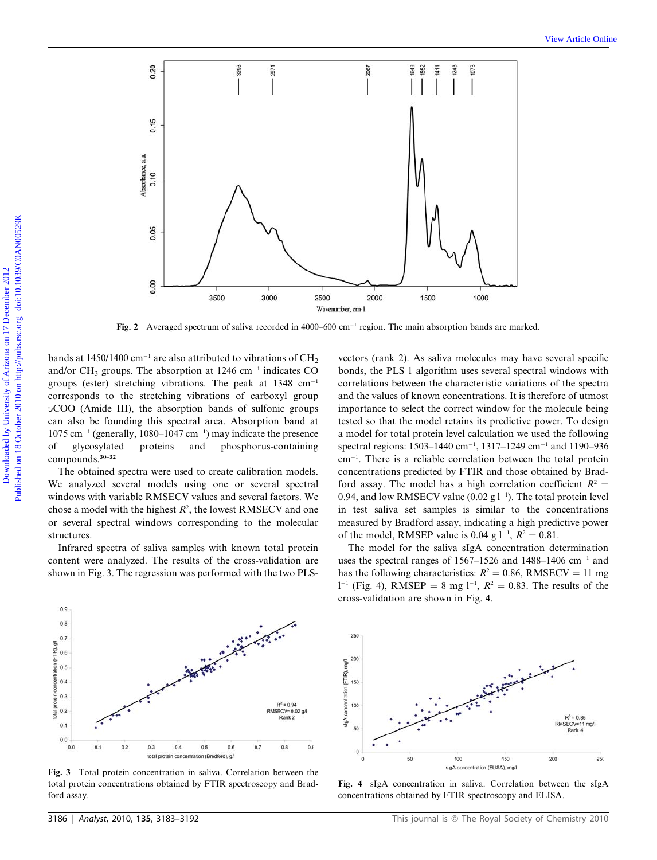

Fig. 2 Averaged spectrum of saliva recorded in 4000–600 cm<sup>-1</sup> region. The main absorption bands are marked.

bands at 1450/1400  $\rm cm^{-1}$  are also attributed to vibrations of  $\rm CH_{2}$ and/or  $CH_3$  groups. The absorption at 1246 cm<sup>-1</sup> indicates CO groups (ester) stretching vibrations. The peak at 1348 cm-1 corresponds to the stretching vibrations of carboxyl group yCOO (Amide III), the absorption bands of sulfonic groups can also be founding this spectral area. Absorption band at  $1075 \text{ cm}^{-1}$  (generally, 1080–1047 cm<sup>-1</sup>) may indicate the presence of glycosylated proteins and phosphorus-containing compounds.30–32

The obtained spectra were used to create calibration models. We analyzed several models using one or several spectral windows with variable RMSECV values and several factors. We chose a model with the highest  $R^2$ , the lowest RMSECV and one or several spectral windows corresponding to the molecular structures.

Infrared spectra of saliva samples with known total protein content were analyzed. The results of the cross-validation are shown in Fig. 3. The regression was performed with the two PLS-

vectors (rank 2). As saliva molecules may have several specific bonds, the PLS 1 algorithm uses several spectral windows with correlations between the characteristic variations of the spectra and the values of known concentrations. It is therefore of utmost importance to select the correct window for the molecule being tested so that the model retains its predictive power. To design a model for total protein level calculation we used the following spectral regions: 1503-1440 cm<sup>-1</sup>, 1317-1249 cm<sup>-1</sup> and 1190-936 cm-1 . There is a reliable correlation between the total protein concentrations predicted by FTIR and those obtained by Bradford assay. The model has a high correlation coefficient  $R^2 =$ 0.94, and low RMSECV value (0.02  $g1^{-1}$ ). The total protein level in test saliva set samples is similar to the concentrations measured by Bradford assay, indicating a high predictive power of the model, RMSEP value is 0.04 g  $1^{-1}$ ,  $R^2 = 0.81$ .

The model for the saliva sIgA concentration determination uses the spectral ranges of 1567-1526 and 1488-1406 cm<sup>-1</sup> and has the following characteristics:  $R^2 = 0.86$ , RMSECV = 11 mg  $1^{-1}$  (Fig. 4), RMSEP = 8 mg  $1^{-1}$ ,  $R^2 = 0.83$ . The results of the cross-validation are shown in Fig. 4.



Fig. 3 Total protein concentration in saliva. Correlation between the total protein concentrations obtained by FTIR spectroscopy and Bradford assay.



Fig. 4 sIgA concentration in saliva. Correlation between the sIgA concentrations obtained by FTIR spectroscopy and ELISA.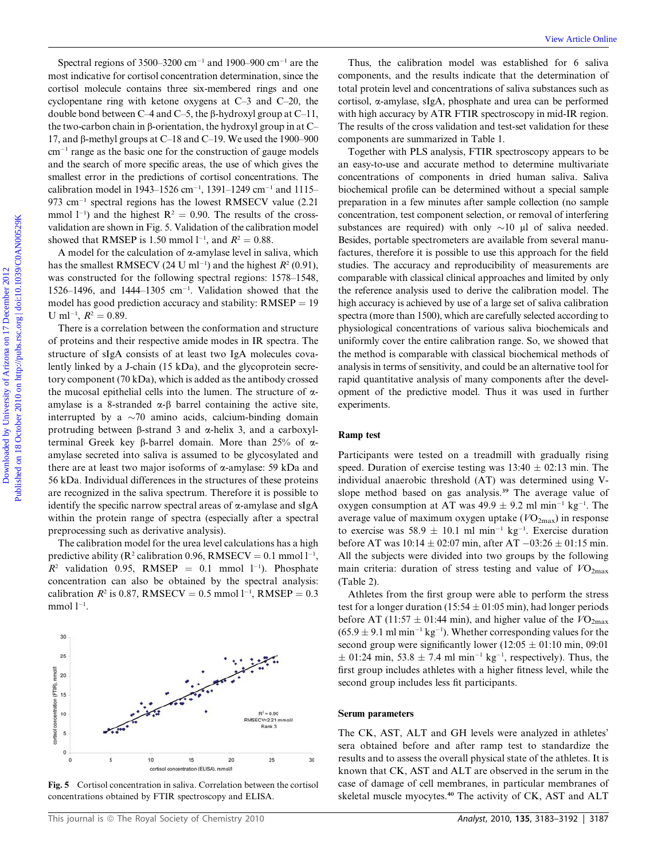Spectral regions of  $3500-3200$  cm<sup>-1</sup> and  $1900-900$  cm<sup>-1</sup> are the most indicative for cortisol concentration determination, since the cortisol molecule contains three six-membered rings and one cyclopentane ring with ketone oxygens at C–3 and C–20, the double bond between C–4 and C–5, the  $\beta$ -hydroxyl group at C–11, the two-carbon chain in  $\beta$ -orientation, the hydroxyl group in at C– 17, and  $\beta$ -methyl groups at C–18 and C–19. We used the 1900–900 cm-<sup>1</sup> range as the basic one for the construction of gauge models and the search of more specific areas, the use of which gives the smallest error in the predictions of cortisol concentrations. The calibration model in 1943–1526 cm-1 , 1391–1249 cm-<sup>1</sup> and 1115– 973 cm-<sup>1</sup> spectral regions has the lowest RMSECV value (2.21 mmol  $1^{-1}$ ) and the highest  $R^2 = 0.90$ . The results of the crossvalidation are shown in Fig. 5. Validation of the calibration model showed that RMSEP is 1.50 mmol  $1^{-1}$ , and  $R^2 = 0.88$ .

A model for the calculation of  $\alpha$ -amylase level in saliva, which has the smallest RMSECV (24 U ml<sup>-1</sup>) and the highest  $R^2$  (0.91), was constructed for the following spectral regions: 1578–1548, 1526–1496, and 1444–1305  $cm^{-1}$ . Validation showed that the model has good prediction accuracy and stability:  $RMSEP = 19$ U ml<sup>-1</sup>,  $R^2 = 0.89$ .

There is a correlation between the conformation and structure of proteins and their respective amide modes in IR spectra. The structure of sIgA consists of at least two IgA molecules covalently linked by a J-chain (15 kDa), and the glycoprotein secretory component (70 kDa), which is added as the antibody crossed the mucosal epithelial cells into the lumen. The structure of  $\alpha$ amylase is a 8-stranded  $\alpha$ - $\beta$  barrel containing the active site, interrupted by a  $\sim$ 70 amino acids, calcium-binding domain protruding between  $\beta$ -strand 3 and  $\alpha$ -helix 3, and a carboxylterminal Greek key  $\beta$ -barrel domain. More than 25% of  $\alpha$ amylase secreted into saliva is assumed to be glycosylated and there are at least two major isoforms of  $\alpha$ -amylase: 59 kDa and 56 kDa. Individual differences in the structures of these proteins are recognized in the saliva spectrum. Therefore it is possible to identify the specific narrow spectral areas of  $\alpha$ -amylase and sIgA within the protein range of spectra (especially after a spectral preprocessing such as derivative analysis).

The calibration model for the urea level calculations has a high predictive ability ( $\mathbb{R}^2$  calibration 0.96,  $\mathbb{R}$ MSECV = 0.1 mmol  $1^{-1}$ ,  $R^2$  validation 0.95, RMSEP = 0.1 mmol 1<sup>-1</sup>). Phosphate concentration can also be obtained by the spectral analysis: calibration  $R^2$  is 0.87, RMSECV = 0.5 mmol l<sup>-1</sup>, RMSEP = 0.3  $mmol$   $l^{-1}$ .



 $R^2 = 0.90$ RMSECV=2.21 mmol/l Rank 3

Thus, the calibration model was established for 6 saliva components, and the results indicate that the determination of total protein level and concentrations of saliva substances such as cortisol, a-amylase, sIgA, phosphate and urea can be performed with high accuracy by ATR FTIR spectroscopy in mid-IR region. The results of the cross validation and test-set validation for these components are summarized in Table 1.

Together with PLS analysis, FTIR spectroscopy appears to be an easy-to-use and accurate method to determine multivariate concentrations of components in dried human saliva. Saliva biochemical profile can be determined without a special sample preparation in a few minutes after sample collection (no sample concentration, test component selection, or removal of interfering substances are required) with only  $\sim 10$  µl of saliva needed. Besides, portable spectrometers are available from several manufactures, therefore it is possible to use this approach for the field studies. The accuracy and reproducibility of measurements are comparable with classical clinical approaches and limited by only the reference analysis used to derive the calibration model. The high accuracy is achieved by use of a large set of saliva calibration spectra (more than 1500), which are carefully selected according to physiological concentrations of various saliva biochemicals and uniformly cover the entire calibration range. So, we showed that the method is comparable with classical biochemical methods of analysis in terms of sensitivity, and could be an alternative tool for rapid quantitative analysis of many components after the development of the predictive model. Thus it was used in further experiments. Spectral equiversid 5500.1220 on 12 and 1800.000 on 12 exclusive Thus, the calibration and he are also and the control on the matter in the doi:100 or 18 October 2012 Published on 18 October 2012 Published on 18 October 2

#### Ramp test

Participants were tested on a treadmill with gradually rising speed. Duration of exercise testing was  $13:40 \pm 02:13$  min. The individual anaerobic threshold (AT) was determined using Vslope method based on gas analysis.<sup>39</sup> The average value of oxygen consumption at AT was  $49.9 \pm 9.2$  ml min<sup>-1</sup> kg<sup>-1</sup>. The average value of maximum oxygen uptake  $(VO_{2max})$  in response to exercise was  $58.9 \pm 10.1$  ml min<sup>-1</sup> kg<sup>-1</sup>. Exercise duration before AT was  $10:14 \pm 02:07$  min, after AT  $-03:26 \pm 01:15$  min. All the subjects were divided into two groups by the following main criteria: duration of stress testing and value of  $VO_{2\text{max}}$ (Table 2).

Athletes from the first group were able to perform the stress test for a longer duration (15:54  $\pm$  01:05 min), had longer periods before AT (11:57  $\pm$  01:44 min), and higher value of the  $V_{2\text{max}}$  $(65.9 \pm 9.1 \text{ m} \cdot \text{min}^{-1} \text{ kg}^{-1})$ . Whether corresponding values for the second group were significantly lower (12:05  $\pm$  01:10 min, 09:01  $\pm$  01:24 min, 53.8  $\pm$  7.4 ml min<sup>-1</sup> kg<sup>-1</sup>, respectively). Thus, the first group includes athletes with a higher fitness level, while the second group includes less fit participants.

#### Serum parameters

The CK, AST, ALT and GH levels were analyzed in athletes' sera obtained before and after ramp test to standardize the results and to assess the overall physical state of the athletes. It is known that CK, AST and ALT are observed in the serum in the case of damage of cell membranes, in particular membranes of skeletal muscle myocytes.<sup>40</sup> The activity of CK, AST and ALT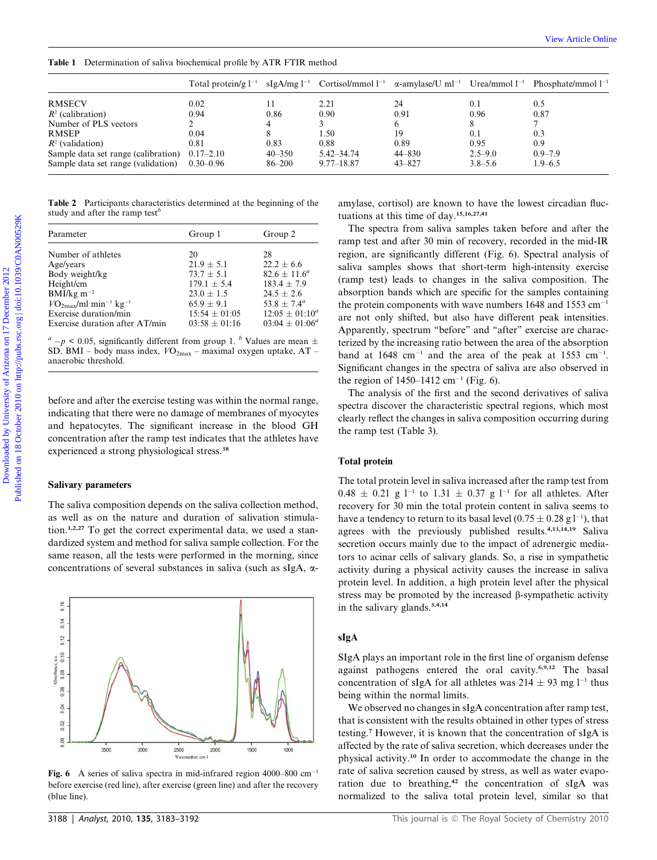Table 1 Determination of saliva biochemical profile by ATR FTIR method

|                                                                                          |                                                                    |                     | Total protein/g $l^{-1}$ sIgA/mg $l^{-1}$ Cortisol/mmol $l^{-1}$ |                                                                                                                                                                                      |             | $\alpha$ -amylase/U ml <sup>-1</sup> Urea/mmol l <sup>-1</sup> Phosphate/mmol l <sup>-1</sup> |  |  |
|------------------------------------------------------------------------------------------|--------------------------------------------------------------------|---------------------|------------------------------------------------------------------|--------------------------------------------------------------------------------------------------------------------------------------------------------------------------------------|-------------|-----------------------------------------------------------------------------------------------|--|--|
| <b>RMSECV</b>                                                                            | 0.02                                                               | 11                  | 2.21                                                             | 24                                                                                                                                                                                   | 0.1         | 0.5                                                                                           |  |  |
| $R^2$ (calibration)                                                                      | 0.94                                                               | 0.86                | 0.90                                                             | 0.91                                                                                                                                                                                 | 0.96        | 0.87                                                                                          |  |  |
| Number of PLS vectors                                                                    | $\overline{2}$                                                     | 4                   | $\mathbf{3}$                                                     | 6                                                                                                                                                                                    | 8           | $\tau$                                                                                        |  |  |
| <b>RMSEP</b>                                                                             | 0.04                                                               | 8                   | 1.50                                                             | 19                                                                                                                                                                                   | 0.1         | 0.3                                                                                           |  |  |
| $R^2$ (validation)                                                                       | 0.81                                                               | 0.83                | 0.88                                                             | 0.89                                                                                                                                                                                 | 0.95        | 0.9                                                                                           |  |  |
| Sample data set range (calibration)                                                      | $0.17 - 2.10$                                                      | $40 - 350$          | 5.42-34.74                                                       | $44 - 830$                                                                                                                                                                           | $2.5 - 9.0$ | $0.9 - 7.9$                                                                                   |  |  |
| Sample data set range (validation)                                                       | $0.30 - 0.96$                                                      | 86-200              | $9.77 - 18.87$                                                   | $43 - 827$                                                                                                                                                                           | $3.8 - 5.6$ | $1.9 - 6.5$                                                                                   |  |  |
| study and after the ramp test <sup>b</sup><br>Parameter                                  | Group 1                                                            | Group 2             |                                                                  | tuations at this time of day. <sup>15,16,27,41</sup><br>The spectra from saliva samples taken before and after the<br>ramp test and after 30 min of recovery, recorded in the mid-IR |             |                                                                                               |  |  |
| Number of athletes                                                                       | 20                                                                 | 28                  |                                                                  |                                                                                                                                                                                      |             | region, are significantly different (Fig. 6). Spectral analysis of                            |  |  |
| Age/years                                                                                | $21.9 \pm 5.1$                                                     | $22.2 \pm 6.6$      |                                                                  |                                                                                                                                                                                      |             | saliva samples shows that short-term high-intensity exercise                                  |  |  |
| Body weight/kg                                                                           | $73.7 \pm 5.1$                                                     | $82.6 \pm 11.6^a$   |                                                                  |                                                                                                                                                                                      |             | (ramp test) leads to changes in the saliva composition. The                                   |  |  |
| Height/cm                                                                                | $179.1 \pm 5.4$                                                    | $183.4 \pm 7.9$     |                                                                  |                                                                                                                                                                                      |             |                                                                                               |  |  |
| $BMI/kg$ m <sup>-2</sup>                                                                 | $23.0 \pm 1.5$                                                     | $24.5 \pm 2.6$      |                                                                  |                                                                                                                                                                                      |             | absorption bands which are specific for the samples containing                                |  |  |
| $VO_{2\text{max}}/\text{ml min}^{-1}$ kg <sup>-1</sup>                                   | $65.9 \pm 9.1$                                                     | $53.8 \pm 7.4^a$    |                                                                  |                                                                                                                                                                                      |             | the protein components with wave numbers 1648 and 1553 $cm^{-1}$                              |  |  |
| Exercise duration/min                                                                    | $15:54 \pm 01:05$                                                  | $12:05 \pm 01:10^a$ |                                                                  |                                                                                                                                                                                      |             | are not only shifted, but also have different peak intensities.                               |  |  |
| Exercise duration after AT/min                                                           | $03:58 \pm 01:16$                                                  | $03:04 \pm 01:06^a$ |                                                                  |                                                                                                                                                                                      |             | Apparently, spectrum "before" and "after" exercise are charac-                                |  |  |
| $a - p$ < 0.05, significantly different from group 1. <sup>b</sup> Values are mean $\pm$ |                                                                    |                     |                                                                  |                                                                                                                                                                                      |             | terized by the increasing ratio between the area of the absorption                            |  |  |
| SD. BMI – body mass index, $VO_{2\text{max}}$ – maximal oxygen uptake, AT –              |                                                                    |                     |                                                                  |                                                                                                                                                                                      |             |                                                                                               |  |  |
| anaerobic threshold.                                                                     |                                                                    |                     |                                                                  |                                                                                                                                                                                      |             | band at $1648$ cm <sup>-1</sup> and the area of the peak at $1553$ cm <sup>-1</sup> .         |  |  |
|                                                                                          |                                                                    |                     |                                                                  |                                                                                                                                                                                      |             | Significant changes in the spectra of saliva are also observed in                             |  |  |
|                                                                                          |                                                                    |                     |                                                                  | the region of 1450–1412 cm <sup>-1</sup> (Fig. 6).                                                                                                                                   |             |                                                                                               |  |  |
|                                                                                          |                                                                    |                     |                                                                  |                                                                                                                                                                                      |             |                                                                                               |  |  |
|                                                                                          | before and after the exercise testing was within the normal range, |                     |                                                                  | The analysis of the first and the second derivatives of saliva<br>spectra discover the characteristic spectral regions, which most                                                   |             |                                                                                               |  |  |
|                                                                                          |                                                                    |                     |                                                                  |                                                                                                                                                                                      |             |                                                                                               |  |  |
|                                                                                          |                                                                    |                     |                                                                  |                                                                                                                                                                                      |             |                                                                                               |  |  |
| indicating that there were no damage of membranes of myocytes                            |                                                                    |                     |                                                                  |                                                                                                                                                                                      |             |                                                                                               |  |  |
| and hepatocytes. The significant increase in the blood GH                                |                                                                    |                     |                                                                  | the ramp test (Table 3).                                                                                                                                                             |             |                                                                                               |  |  |
| concentration after the ramp test indicates that the athletes have                       |                                                                    |                     |                                                                  |                                                                                                                                                                                      |             | clearly reflect the changes in saliva composition occurring during                            |  |  |
|                                                                                          |                                                                    |                     |                                                                  |                                                                                                                                                                                      |             |                                                                                               |  |  |
|                                                                                          |                                                                    |                     | <b>Total protein</b>                                             |                                                                                                                                                                                      |             |                                                                                               |  |  |
| experienced a strong physiological stress. <sup>38</sup><br><b>Salivary parameters</b>   |                                                                    |                     |                                                                  | The total protein level in saliva increased after the ramp test from<br>$0.48 \pm 0.21$ g l <sup>-1</sup> to 1.31 $\pm$ 0.37 g l <sup>-1</sup> for all athletes. After               |             |                                                                                               |  |  |

Table 2 Participants characteristics determined at the beginning of the study and after the ramp test<sup>b</sup>

| Parameter                                                              | Group 1           | Group 2             |
|------------------------------------------------------------------------|-------------------|---------------------|
| Number of athletes                                                     | 20                | 28                  |
| Age/years                                                              | $21.9 \pm 5.1$    | $22.2 \pm 6.6$      |
| Body weight/kg                                                         | $73.7 + 5.1$      | $82.6 + 11.6^a$     |
| Height/cm                                                              | $179.1 \pm 5.4$   | $183.4 + 7.9$       |
| $BMI/kg$ m <sup>-2</sup>                                               | $23.0 + 1.5$      | $24.5 + 2.6$        |
| $V\text{O}_{2\text{max}}/\text{ml}$ min <sup>-1</sup> kg <sup>-1</sup> | $65.9 \pm 9.1$    | $53.8 + 7.4^a$      |
| Exercise duration/min                                                  | $15:54 \pm 01:05$ | $12:05 \pm 01:10^a$ |
| Exercise duration after AT/min                                         | $03:58 + 01:16$   | $03:04 \pm 01:06^a$ |

#### Salivary parameters

The saliva composition depends on the saliva collection method, as well as on the nature and duration of salivation stimulation.1,2,27 To get the correct experimental data, we used a standardized system and method for saliva sample collection. For the same reason, all the tests were performed in the morning, since concentrations of several substances in saliva (such as  $slgA$ ,  $\alpha$ -



Fig. 6 A series of saliva spectra in mid-infrared region 4000–800 cm<sup>-1</sup> before exercise (red line), after exercise (green line) and after the recovery (blue line).

## Total protein

The total protein level in saliva increased after the ramp test from  $0.48 \pm 0.21$  g l<sup>-1</sup> to 1.31  $\pm$  0.37 g l<sup>-1</sup> for all athletes. After recovery for 30 min the total protein content in saliva seems to have a tendency to return to its basal level  $(0.75 \pm 0.28 \text{ g l}^{-1})$ , that agrees with the previously published results.4,13,14,19 Saliva secretion occurs mainly due to the impact of adrenergic mediators to acinar cells of salivary glands. So, a rise in sympathetic activity during a physical activity causes the increase in saliva protein level. In addition, a high protein level after the physical stress may be promoted by the increased  $\beta$ -sympathetic activity in the salivary glands.3,4,14

#### sIgA

SIgA plays an important role in the first line of organism defense against pathogens entered the oral cavity.6,9,12 The basal concentration of sIgA for all athletes was  $214 \pm 93$  mg l<sup>-1</sup> thus being within the normal limits.

We observed no changes in sIgA concentration after ramp test, that is consistent with the results obtained in other types of stress testing.<sup>7</sup> However, it is known that the concentration of sIgA is affected by the rate of saliva secretion, which decreases under the physical activity.<sup>10</sup> In order to accommodate the change in the rate of saliva secretion caused by stress, as well as water evaporation due to breathing,<sup>42</sup> the concentration of sIgA was normalized to the saliva total protein level, similar so that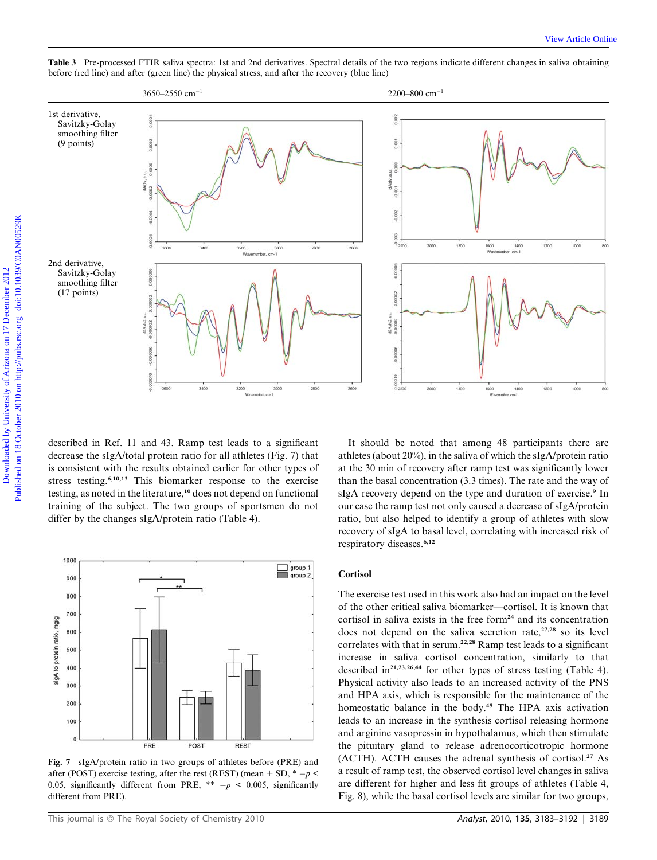

Table 3 Pre-processed FTIR saliva spectra: 1st and 2nd derivatives. Spectral details of the two regions indicate different changes in saliva obtaining before (red line) and after (green line) the physical stress, and after the recovery (blue line)

described in Ref. 11 and 43. Ramp test leads to a significant decrease the sIgA/total protein ratio for all athletes (Fig. 7) that is consistent with the results obtained earlier for other types of stress testing.6,10,13 This biomarker response to the exercise testing, as noted in the literature,<sup>10</sup> does not depend on functional training of the subject. The two groups of sportsmen do not differ by the changes sIgA/protein ratio (Table 4).



Fig. 7 sIgA/protein ratio in two groups of athletes before (PRE) and after (POST) exercise testing, after the rest (REST) (mean  $\pm$  SD,  $* -p$  < 0.05, significantly different from PRE,  $** -p < 0.005$ , significantly different from PRE).

It should be noted that among 48 participants there are athletes (about 20%), in the saliva of which the sIgA/protein ratio at the 30 min of recovery after ramp test was significantly lower than the basal concentration (3.3 times). The rate and the way of sIgA recovery depend on the type and duration of exercise.<sup>9</sup> In our case the ramp test not only caused a decrease of sIgA/protein ratio, but also helped to identify a group of athletes with slow recovery of sIgA to basal level, correlating with increased risk of respiratory diseases.6,12

## **Cortisol**

The exercise test used in this work also had an impact on the level of the other critical saliva biomarker—cortisol. It is known that cortisol in saliva exists in the free form<sup>24</sup> and its concentration does not depend on the saliva secretion rate, $27,28$  so its level correlates with that in serum.22,28 Ramp test leads to a significant increase in saliva cortisol concentration, similarly to that described in<sup>21,23,26,44</sup> for other types of stress testing (Table 4). Physical activity also leads to an increased activity of the PNS and HPA axis, which is responsible for the maintenance of the homeostatic balance in the body.<sup>45</sup> The HPA axis activation leads to an increase in the synthesis cortisol releasing hormone and arginine vasopressin in hypothalamus, which then stimulate the pituitary gland to release adrenocorticotropic hormone (ACTH). ACTH causes the adrenal synthesis of cortisol.<sup>27</sup> As a result of ramp test, the observed cortisol level changes in saliva are different for higher and less fit groups of athletes (Table 4, Fig. 8), while the basal cortisol levels are similar for two groups,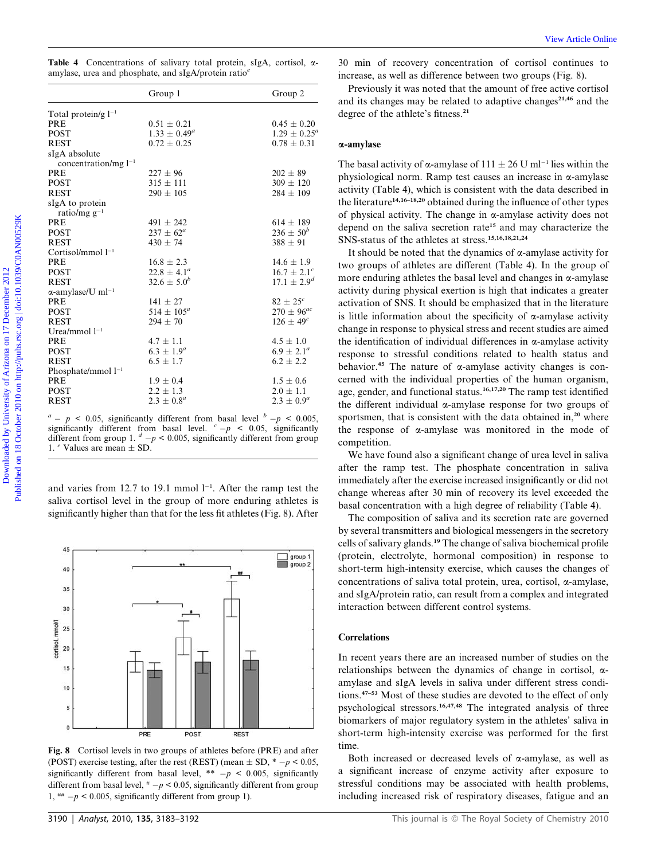| <b>Table 4</b> Concentrations of salivary total protein, sIgA, cortisol, $\alpha$ - |  |  |  |  |
|-------------------------------------------------------------------------------------|--|--|--|--|
| amylase, urea and phosphate, and sIgA/protein ratio $^e$                            |  |  |  |  |

| and its changes may be related to adaptive changes <sup>21,46</sup> and the                                                                                                                                       |
|-------------------------------------------------------------------------------------------------------------------------------------------------------------------------------------------------------------------|
| degree of the athlete's fitness. <sup>21</sup>                                                                                                                                                                    |
|                                                                                                                                                                                                                   |
|                                                                                                                                                                                                                   |
|                                                                                                                                                                                                                   |
|                                                                                                                                                                                                                   |
| The basal activity of $\alpha$ -amylase of 111 $\pm$ 26 U ml <sup>-1</sup> lies within the                                                                                                                        |
| physiological norm. Ramp test causes an increase in $\alpha$ -amylase                                                                                                                                             |
|                                                                                                                                                                                                                   |
| activity (Table 4), which is consistent with the data described in                                                                                                                                                |
| the literature <sup>14,16-18,20</sup> obtained during the influence of other types                                                                                                                                |
| of physical activity. The change in $\alpha$ -amylase activity does not                                                                                                                                           |
| depend on the saliva secretion rate <sup>15</sup> and may characterize the                                                                                                                                        |
|                                                                                                                                                                                                                   |
| SNS-status of the athletes at stress. <sup>15,16,18,21,24</sup>                                                                                                                                                   |
| It should be noted that the dynamics of $\alpha$ -amylase activity for                                                                                                                                            |
| two groups of athletes are different (Table 4). In the group of                                                                                                                                                   |
| more enduring athletes the basal level and changes in $\alpha$ -amylase                                                                                                                                           |
|                                                                                                                                                                                                                   |
| activity during physical exertion is high that indicates a greater                                                                                                                                                |
| activation of SNS. It should be emphasized that in the literature                                                                                                                                                 |
| is little information about the specificity of $\alpha$ -amylase activity                                                                                                                                         |
| change in response to physical stress and recent studies are aimed                                                                                                                                                |
| the identification of individual differences in $\alpha$ -amylase activity                                                                                                                                        |
|                                                                                                                                                                                                                   |
| response to stressful conditions related to health status and                                                                                                                                                     |
| behavior. <sup>45</sup> The nature of $\alpha$ -amylase activity changes is con-                                                                                                                                  |
| cerned with the individual properties of the human organism,                                                                                                                                                      |
| age, gender, and functional status. <sup>16,17,20</sup> The ramp test identified                                                                                                                                  |
| the different individual $\alpha$ -amylase response for two groups of                                                                                                                                             |
| sportsmen, that is consistent with the data obtained in, <sup>20</sup> where<br>the response of $\alpha$ -amylase was monitored in the mode of<br>We have found also a significant change of urea level in saliva |

 $a^a - p < 0.05$ , significantly different from basal level  $b - p < 0.005$ , significantly different from group 1.  $a^d - p < 0.005$ , significantly different from group 1.  $e$  Values are mean  $\pm$  SD.

and varies from 12.7 to 19.1 mmol  $1^{-1}$ . After the ramp test the saliva cortisol level in the group of more enduring athletes is significantly higher than that for the less fit athletes (Fig. 8). After



Fig. 8 Cortisol levels in two groups of athletes before (PRE) and after (POST) exercise testing, after the rest (REST) (mean  $\pm$  SD,  $* -p < 0.05$ , significantly different from basal level,  $** -p < 0.005$ , significantly different from basal level,  $^# -p < 0.05$ , significantly different from group 1,  $\mu$  –  $p$  < 0.005, significantly different from group 1).

#### a-amylase

We have found also a significant change of urea level in saliva after the ramp test. The phosphate concentration in saliva immediately after the exercise increased insignificantly or did not change whereas after 30 min of recovery its level exceeded the basal concentration with a high degree of reliability (Table 4).

The composition of saliva and its secretion rate are governed by several transmitters and biological messengers in the secretory cells of salivary glands.<sup>19</sup> The change of saliva biochemical profile (protein, electrolyte, hormonal composition) in response to short-term high-intensity exercise, which causes the changes of concentrations of saliva total protein, urea, cortisol, a-amylase, and sIgA/protein ratio, can result from a complex and integrated interaction between different control systems.

#### **Correlations**

In recent years there are an increased number of studies on the relationships between the dynamics of change in cortisol,  $\alpha$ amylase and sIgA levels in saliva under different stress conditions.47–53 Most of these studies are devoted to the effect of only psychological stressors.16,47,48 The integrated analysis of three biomarkers of major regulatory system in the athletes' saliva in short-term high-intensity exercise was performed for the first time.

Both increased or decreased levels of  $\alpha$ -amylase, as well as a significant increase of enzyme activity after exposure to stressful conditions may be associated with health problems, including increased risk of respiratory diseases, fatigue and an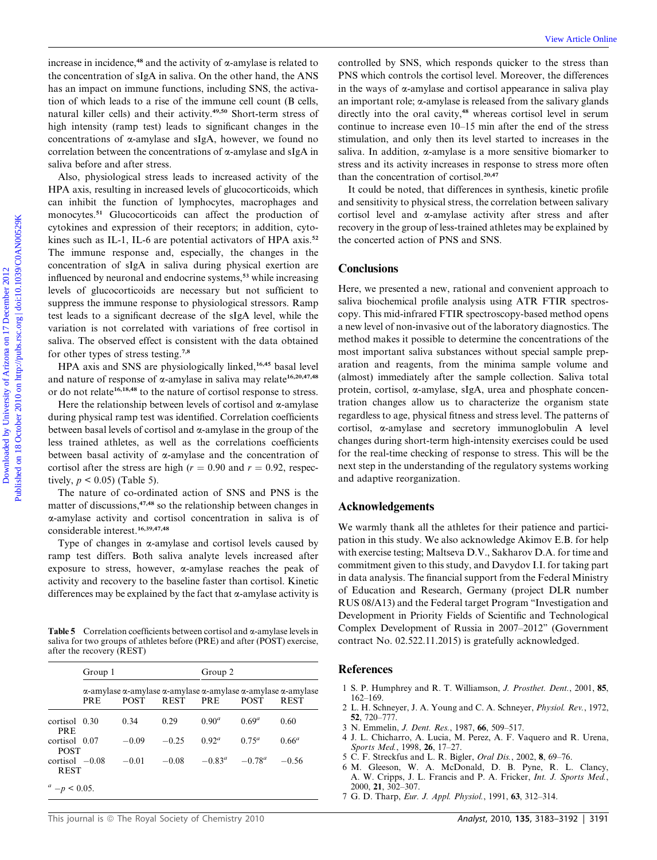increase in incidence,<sup>48</sup> and the activity of  $\alpha$ -amylase is related to the concentration of sIgA in saliva. On the other hand, the ANS has an impact on immune functions, including SNS, the activation of which leads to a rise of the immune cell count (B cells, natural killer cells) and their activity.49,50 Short-term stress of high intensity (ramp test) leads to significant changes in the concentrations of a-amylase and sIgA, however, we found no correlation between the concentrations of  $\alpha$ -amylase and sIgA in saliva before and after stress.

Also, physiological stress leads to increased activity of the HPA axis, resulting in increased levels of glucocorticoids, which can inhibit the function of lymphocytes, macrophages and monocytes.<sup>51</sup> Glucocorticoids can affect the production of cytokines and expression of their receptors; in addition, cytokines such as IL-1, IL-6 are potential activators of HPA axis.<sup>52</sup> The immune response and, especially, the changes in the concentration of sIgA in saliva during physical exertion are influenced by neuronal and endocrine systems,<sup>53</sup> while increasing levels of glucocorticoids are necessary but not sufficient to suppress the immune response to physiological stressors. Ramp test leads to a significant decrease of the sIgA level, while the variation is not correlated with variations of free cortisol in saliva. The observed effect is consistent with the data obtained for other types of stress testing.7,8

HPA axis and SNS are physiologically linked,<sup>16,45</sup> basal level and nature of response of  $\alpha$ -amylase in saliva may relate<sup>16,20,47,48</sup> or do not relate<sup>16,18,48</sup> to the nature of cortisol response to stress.

Here the relationship between levels of cortisol and  $\alpha$ -amylase during physical ramp test was identified. Correlation coefficients between basal levels of cortisol and  $\alpha$ -amylase in the group of the less trained athletes, as well as the correlations coefficients between basal activity of  $\alpha$ -amylase and the concentration of cortisol after the stress are high ( $r = 0.90$  and  $r = 0.92$ , respectively,  $p < 0.05$ ) (Table 5).

The nature of co-ordinated action of SNS and PNS is the matter of discussions,<sup>47,48</sup> so the relationship between changes in a-amylase activity and cortisol concentration in saliva is of considerable interest.16,39,47,48

Type of changes in  $\alpha$ -amylase and cortisol levels caused by ramp test differs. Both saliva analyte levels increased after exposure to stress, however,  $\alpha$ -amylase reaches the peak of activity and recovery to the baseline faster than cortisol. Kinetic differences may be explained by the fact that  $\alpha$ -amylase activity is

**Table 5** Correlation coefficients between cortisol and  $\alpha$ -amylase levels in saliva for two groups of athletes before (PRE) and after (POST) exercise, after the recovery (REST)

|                                          | Group 1    |                                                                                                                            |             | Group 2           |             |             |  |
|------------------------------------------|------------|----------------------------------------------------------------------------------------------------------------------------|-------------|-------------------|-------------|-------------|--|
|                                          | <b>PRE</b> | $\alpha$ -amylase $\alpha$ -amylase $\alpha$ -amylase $\alpha$ -amylase $\alpha$ -amylase $\alpha$ -amylase<br><b>POST</b> | <b>REST</b> | PRE               | <b>POST</b> | <b>REST</b> |  |
| $\text{cortisol}$ 0.30<br><b>PRE</b>     |            | 0.34                                                                                                                       | 0.29        | $0.90^a$          | $0.69^a$    | 0.60        |  |
| cortisol 0.07<br><b>POST</b>             |            | $-0.09$                                                                                                                    | $-0.25$     | 0.92 <sup>a</sup> | $0.75^a$    | $0.66^a$    |  |
| $\text{cortisol}$ $-0.08$<br><b>REST</b> |            | $-0.01$                                                                                                                    | $-0.08$     | $-0.83^{\circ}$   | $-0.78^{a}$ | $-0.56$     |  |
| $a - p < 0.05$ .                         |            |                                                                                                                            |             |                   |             |             |  |

controlled by SNS, which responds quicker to the stress than PNS which controls the cortisol level. Moreover, the differences in the ways of  $\alpha$ -amylase and cortisol appearance in saliva play an important role; a-amylase is released from the salivary glands directly into the oral cavity,<sup>48</sup> whereas cortisol level in serum continue to increase even 10–15 min after the end of the stress stimulation, and only then its level started to increases in the saliva. In addition,  $\alpha$ -amylase is a more sensitive biomarker to stress and its activity increases in response to stress more often than the concentration of cortisol.<sup>20,47</sup>

It could be noted, that differences in synthesis, kinetic profile and sensitivity to physical stress, the correlation between salivary cortisol level and a-amylase activity after stress and after recovery in the group of less-trained athletes may be explained by the concerted action of PNS and SNS.

## **Conclusions**

Here, we presented a new, rational and convenient approach to saliva biochemical profile analysis using ATR FTIR spectroscopy. This mid-infrared FTIR spectroscopy-based method opens a new level of non-invasive out of the laboratory diagnostics. The method makes it possible to determine the concentrations of the most important saliva substances without special sample preparation and reagents, from the minima sample volume and (almost) immediately after the sample collection. Saliva total protein, cortisol, a-amylase, sIgA, urea and phosphate concentration changes allow us to characterize the organism state regardless to age, physical fitness and stress level. The patterns of cortisol, a-amylase and secretory immunoglobulin A level changes during short-term high-intensity exercises could be used for the real-time checking of response to stress. This will be the next step in the understanding of the regulatory systems working and adaptive reorganization. Download insidence,<sup>48</sup> and the activity of Aranylac is related to convention the controlled by NSS shine and the controlled by Controlled by Controlled by Controlled by Controlled by Controlled by Controlled by Controlle

## Acknowledgements

We warmly thank all the athletes for their patience and participation in this study. We also acknowledge Akimov E.B. for help with exercise testing; Maltseva D.V., Sakharov D.A. for time and commitment given to this study, and Davydov I.I. for taking part in data analysis. The financial support from the Federal Ministry of Education and Research, Germany (project DLR number RUS 08/A13) and the Federal target Program ''Investigation and Development in Priority Fields of Scientific and Technological Complex Development of Russia in 2007–2012'' (Government contract No. 02.522.11.2015) is gratefully acknowledged.

#### References

- 1 S. P. Humphrey and R. T. Williamson, J. Prosthet. Dent., 2001, 85, 162–169.
- 2 L. H. Schneyer, J. A. Young and C. A. Schneyer, Physiol. Rev., 1972, 52, 720–777.
- 3 N. Emmelin, J. Dent. Res., 1987, 66, 509–517.
- 4 J. L. Chicharro, A. Lucia, M. Perez, A. F. Vaquero and R. Urena, Sports Med., 1998, 26, 17-27.
- 5 C. F. Streckfus and L. R. Bigler, Oral Dis., 2002, 8, 69–76.
- 6 M. Gleeson, W. A. McDonald, D. B. Pyne, R. L. Clancy, A. W. Cripps, J. L. Francis and P. A. Fricker, Int. J. Sports Med., 2000, 21, 302–307.
- 7 G. D. Tharp, Eur. J. Appl. Physiol., 1991, 63, 312–314.